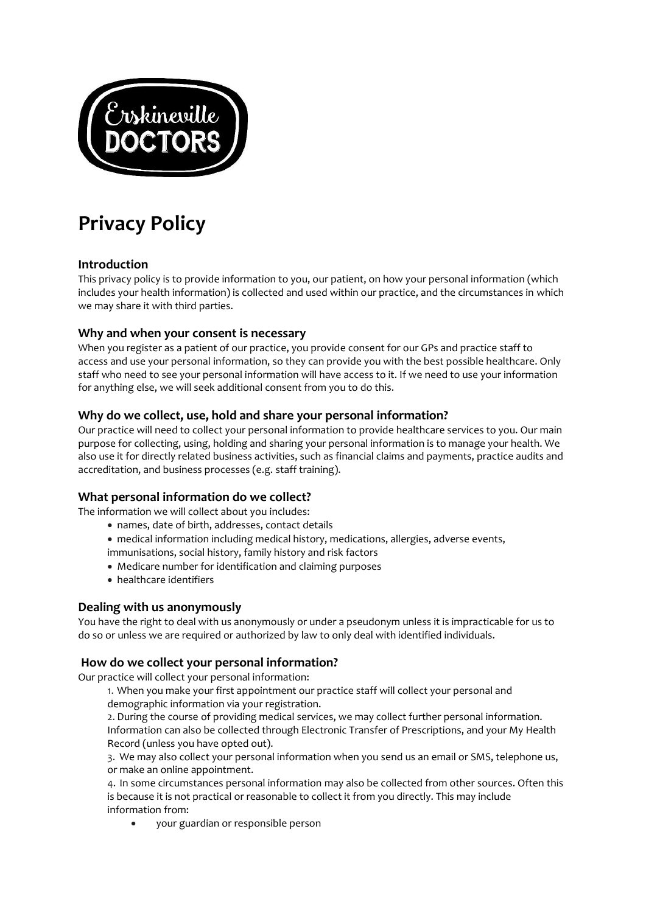

# **Privacy Policy**

# **Introduction**

This privacy policy is to provide information to you, our patient, on how your personal information (which includes your health information) is collected and used within our practice, and the circumstances in which we may share it with third parties.

# **Why and when your consent is necessary**

When you register as a patient of our practice, you provide consent for our GPs and practice staff to access and use your personal information, so they can provide you with the best possible healthcare. Only staff who need to see your personal information will have access to it. If we need to use your information for anything else, we will seek additional consent from you to do this.

# **Why do we collect, use, hold and share your personal information?**

Our practice will need to collect your personal information to provide healthcare services to you. Our main purpose for collecting, using, holding and sharing your personal information is to manage your health. We also use it for directly related business activities, such as financial claims and payments, practice audits and accreditation, and business processes (e.g. staff training).

# **What personal information do we collect?**

The information we will collect about you includes:

- names, date of birth, addresses, contact details
- medical information including medical history, medications, allergies, adverse events,
- immunisations, social history, family history and risk factors
- Medicare number for identification and claiming purposes
- healthcare identifiers

# **Dealing with us anonymously**

You have the right to deal with us anonymously or under a pseudonym unless it is impracticable for us to do so or unless we are required or authorized by law to only deal with identified individuals.

# **How do we collect your personal information?**

Our practice will collect your personal information:

1. When you make your first appointment our practice staff will collect your personal and demographic information via your registration.

2. During the course of providing medical services, we may collect further personal information. Information can also be collected through Electronic Transfer of Prescriptions, and your My Health Record (unless you have opted out).

3. We may also collect your personal information when you send us an email or SMS, telephone us, or make an online appointment.

4. In some circumstances personal information may also be collected from other sources. Often this is because it is not practical or reasonable to collect it from you directly. This may include information from:

• your guardian or responsible person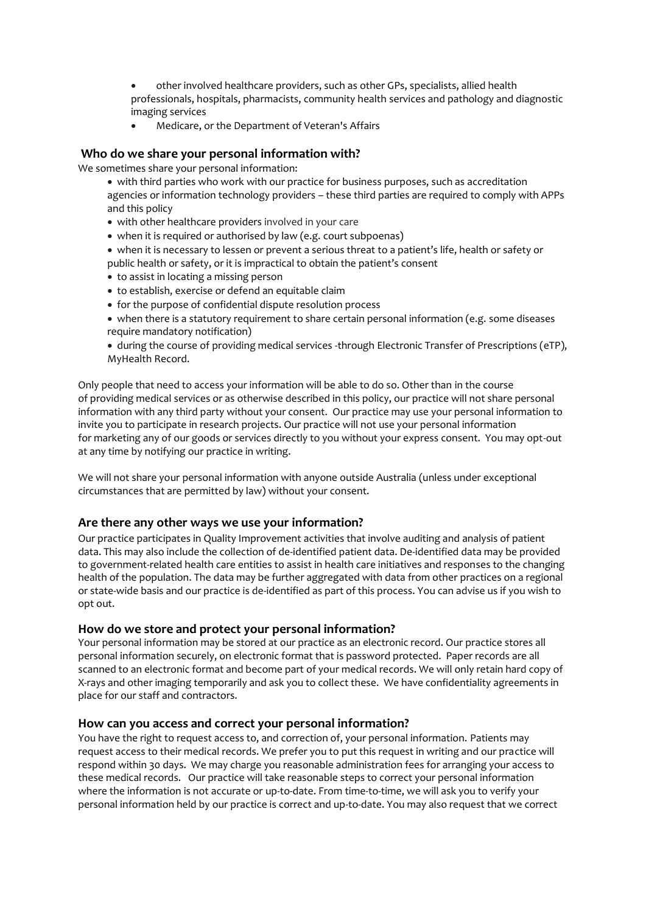- other involved healthcare providers, such as other GPs, specialists, allied health professionals, hospitals, pharmacists, community health services and pathology and diagnostic imaging services
- Medicare, or the Department of Veteran's Affairs

## **Who do we share your personal information with?**

We sometimes share your personal information:

- with third parties who work with our practice for business purposes, such as accreditation agencies or information technology providers – these third parties are required to comply with APPs and this policy
- with other healthcare providers involved in your care
- when it is required or authorised by law (e.g. court subpoenas)
- when it is necessary to lessen or prevent a serious threat to a patient's life, health or safety or public health or safety, or it is impractical to obtain the patient's consent
- to assist in locating a missing person
- to establish, exercise or defend an equitable claim
- for the purpose of confidential dispute resolution process
- when there is a statutory requirement to share certain personal information (e.g. some diseases require mandatory notification)
- during the course of providing medical services -through Electronic Transfer of Prescriptions (eTP), MyHealth Record.

Only people that need to access your information will be able to do so. Other than in the course of providing medical services or as otherwise described in this policy, our practice will not share personal information with any third party without your consent. Our practice may use your personal information to invite you to participate in research projects. Our practice will not use your personal information for marketing any of our goods or services directly to you without your express consent. You may opt-out at any time by notifying our practice in writing.

We will not share your personal information with anyone outside Australia (unless under exceptional circumstances that are permitted by law) without your consent.

#### **Are there any other ways we use your information?**

Our practice participates in Quality Improvement activities that involve auditing and analysis of patient data. This may also include the collection of de-identified patient data. De-identified data may be provided to government-related health care entities to assist in health care initiatives and responses to the changing health of the population. The data may be further aggregated with data from other practices on a regional or state-wide basis and our practice is de-identified as part of this process. You can advise us if you wish to opt out.

#### **How do we store and protect your personal information?**

Your personal information may be stored at our practice as an electronic record. Our practice stores all personal information securely, on electronic format that is password protected. Paper records are all scanned to an electronic format and become part of your medical records. We will only retain hard copy of X-rays and other imaging temporarily and ask you to collect these. We have confidentiality agreements in place for our staff and contractors.

#### **How can you access and correct your personal information?**

You have the right to request access to, and correction of, your personal information. Patients may request access to their medical records. We prefer you to put this request in writing and our practice will respond within 30 days. We may charge you reasonable administration fees for arranging your access to these medical records. Our practice will take reasonable steps to correct your personal information where the information is not accurate or up-to-date. From time-to-time, we will ask you to verify your personal information held by our practice is correct and up-to-date. You may also request that we correct